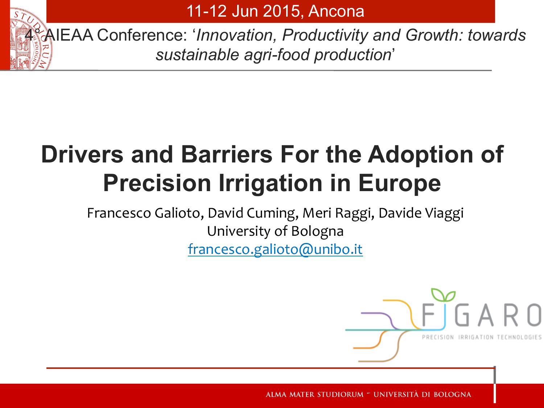

11-12 Jun 2015, Ancona

4° AIEAA Conference: '*Innovation, Productivity and Growth: towards sustainable agri-food production*'

# **Drivers and Barriers For the Adoption of Precision Irrigation in Europe**

Francesco Galioto, David Cuming, Meri Raggi, Davide Viaggi University of Bologna francesco.galioto@unibo.it

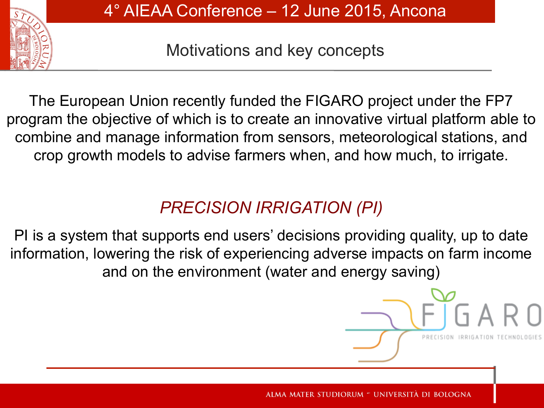

Motivations and key concepts

The European Union recently funded the FIGARO project under the FP7 program the objective of which is to create an innovative virtual platform able to combine and manage information from sensors, meteorological stations, and crop growth models to advise farmers when, and how much, to irrigate.

# *PRECISION IRRIGATION (PI)*

PI is a system that supports end users' decisions providing quality, up to date information, lowering the risk of experiencing adverse impacts on farm income and on the environment (water and energy saving)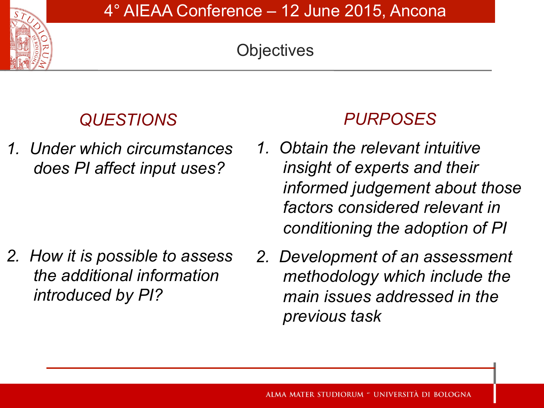# **Objectives**

# *QUESTIONS*

*1. Under which circumstances does PI affect input uses?* 

*2. How it is possible to assess the additional information introduced by PI?*

# *PURPOSES*

- *1. Obtain the relevant intuitive insight of experts and their informed judgement about those factors considered relevant in conditioning the adoption of PI*
- *2. Development of an assessment methodology which include the main issues addressed in the previous task*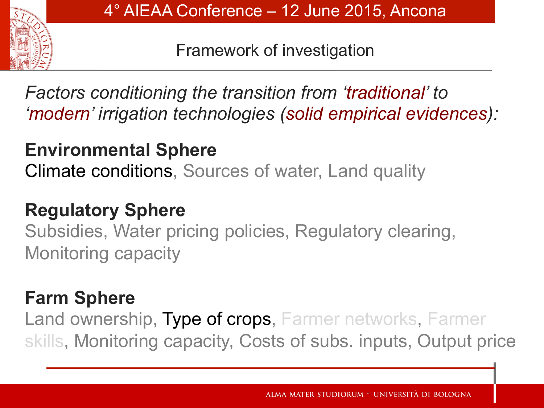

Framework of investigation

*Factors conditioning the transition from 'traditional' to 'modern' irrigation technologies (solid empirical evidences):* 

# **Environmental Sphere**

Climate conditions, Sources of water, Land quality

# **Regulatory Sphere**

Subsidies, Water pricing policies, Regulatory clearing, Monitoring capacity

# **Farm Sphere**

Land ownership, Type of crops, Farmer networks, Farmer skills, Monitoring capacity, Costs of subs. inputs, Output price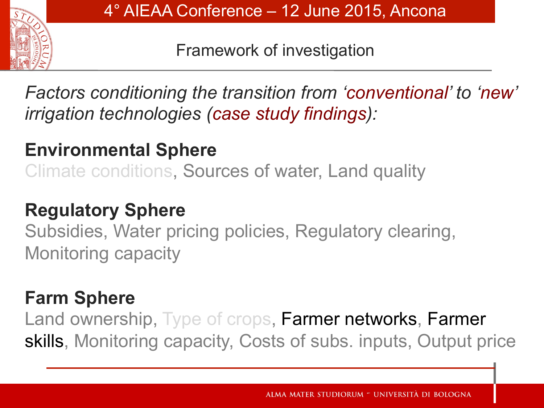

Framework of investigation

*Factors conditioning the transition from 'conventional' to 'new' irrigation technologies (case study findings):* 

# **Environmental Sphere**

Climate conditions, Sources of water, Land quality

# **Regulatory Sphere**

Subsidies, Water pricing policies, Regulatory clearing, Monitoring capacity

# **Farm Sphere**

Land ownership, Type of crops, Farmer networks, Farmer skills, Monitoring capacity, Costs of subs. inputs, Output price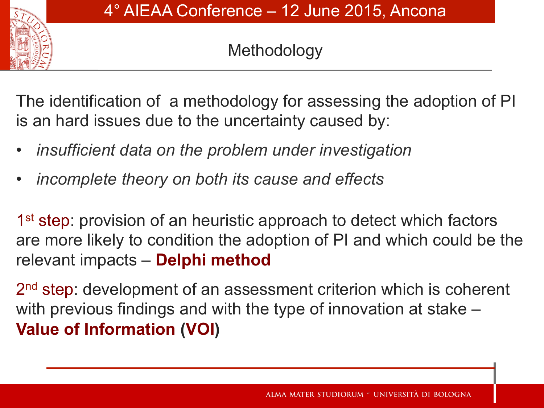

### Methodology

The identification of a methodology for assessing the adoption of PI is an hard issues due to the uncertainty caused by:

- *insufficient data on the problem under investigation*
- *incomplete theory on both its cause and effects*

1<sup>st</sup> step: provision of an heuristic approach to detect which factors are more likely to condition the adoption of PI and which could be the relevant impacts – **Delphi method** 

2<sup>nd</sup> step: development of an assessment criterion which is coherent with previous findings and with the type of innovation at stake – **Value of Information (VOI)**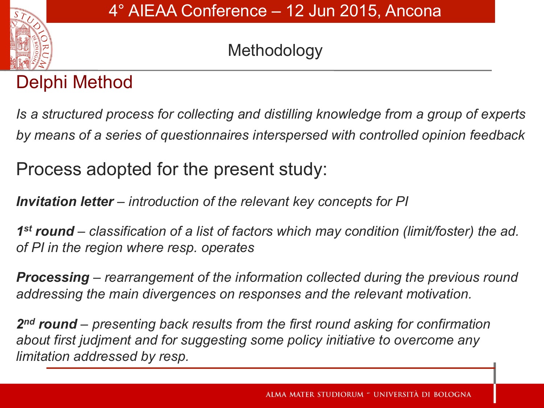

# Methodology

# Delphi Method

*Is a structured process for collecting and distilling knowledge from a group of experts by means of a series of questionnaires interspersed with controlled opinion feedback*

Process adopted for the present study:

*Invitation letter – introduction of the relevant key concepts for PI* 

*1st round – classification of a list of factors which may condition (limit/foster) the ad. of PI in the region where resp. operates* 

*Processing – rearrangement of the information collected during the previous round addressing the main divergences on responses and the relevant motivation.* 

*2nd round – presenting back results from the first round asking for confirmation about first judjment and for suggesting some policy initiative to overcome any limitation addressed by resp.*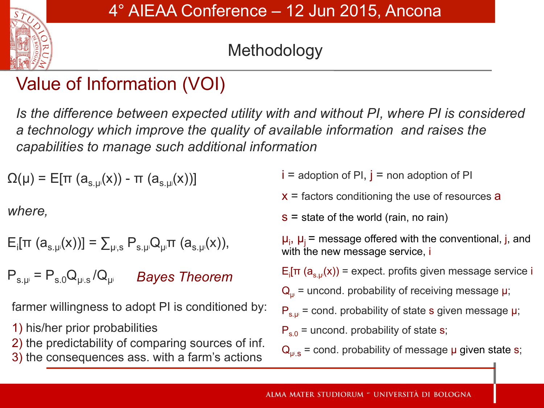

# Methodology

# Value of Information (VOI)

*Is the difference between expected utility with and without PI, where PI is considered a technology which improve the quality of available information and raises the capabilities to manage such additional information* 

 $Ω(μ) = Ε[π (a<sub>s. μ<sup>i</sup></sub>(x)) - π (a<sub>s. μ<sup>j</sup></sub>(x))]$ 

*where,* 

$$
E_i[\pi (a_{s,\mu}(x))] = \sum_{\mu, s} P_{s,\mu} Q_{\mu} \pi (a_{s,\mu}(x)),
$$

 $P_{s,\mu} = P_{s.0} Q_{\mu s} / Q_{\mu i}$ *Bayes Theorem* 

farmer willingness to adopt PI is conditioned by:

1) his/her prior probabilities

- 2) the predictability of comparing sources of inf.
- 3) the consequences ass. with a farm's actions

 $i =$  adoption of PI,  $j =$  non adoption of PI

 $x =$  factors conditioning the use of resources a

 $s =$  state of the world (rain, no rain)

 $\mu_i$ ,  $\mu_j$  = message offered with the conventional, j, and with the new message service, i

E<sub>i</sub>[π (a<sub>s.μ'</sub>(x)) = expect. profits given message service i

 $\mathbf{Q}_{\mu i}$  = uncond. probability of receiving message  $\mu$ ;

 $P_{s,\mu}$  = cond. probability of state s given message  $\mu$ ;

 $P_{s,0}$  = uncond. probability of state s;

 $\mathsf{Q}_{\mathsf{p}^{\text{!}}\mathsf{S}}$  = cond. probability of message  $\mathsf{\mu}$  given state s;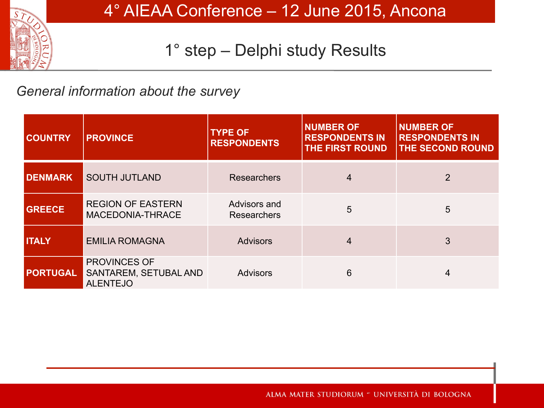

#### *General information about the survey*

| <b>COUNTRY</b>  | <b>PROVINCE</b>                                                        | <b>TYPE OF</b><br><b>RESPONDENTS</b> | <b>NUMBER OF</b><br><b>RESPONDENTS IN</b><br><b>THE FIRST ROUND</b> | <b>NUMBER OF</b><br><b>RESPONDENTS IN</b><br><b>THE SECOND ROUND</b> |
|-----------------|------------------------------------------------------------------------|--------------------------------------|---------------------------------------------------------------------|----------------------------------------------------------------------|
| <b>DENMARK</b>  | <b>SOUTH JUTLAND</b>                                                   | <b>Researchers</b>                   | 4                                                                   | $\overline{2}$                                                       |
| <b>GREECE</b>   | <b>REGION OF EASTERN</b><br>MACEDONIA-THRACE                           | Advisors and<br>Researchers          | 5                                                                   | 5                                                                    |
| <b>ITALY</b>    | <b>EMILIA ROMAGNA</b>                                                  | <b>Advisors</b>                      | 4                                                                   | 3                                                                    |
| <b>PORTUGAL</b> | <b>PROVINCES OF</b><br><b>SANTAREM, SETUBAL AND</b><br><b>ALENTEJO</b> | <b>Advisors</b>                      | 6                                                                   | 4                                                                    |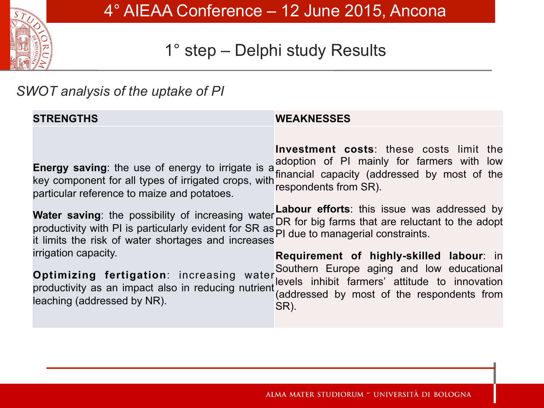

#### *SWOT analysis of the uptake of PI*

| <b>STRENGTHS</b>                                                                                                                                                                                                                                                                                                                                                                                                                                                                                                                         | <b>WEAKNESSES</b>                                                                                                                                                                                                                                                                                                                                                                                                                                                                |
|------------------------------------------------------------------------------------------------------------------------------------------------------------------------------------------------------------------------------------------------------------------------------------------------------------------------------------------------------------------------------------------------------------------------------------------------------------------------------------------------------------------------------------------|----------------------------------------------------------------------------------------------------------------------------------------------------------------------------------------------------------------------------------------------------------------------------------------------------------------------------------------------------------------------------------------------------------------------------------------------------------------------------------|
| <b>Energy saving:</b> the use of energy to irrigate is a<br>key component for all types of irrigated crops, with<br>particular reference to maize and potatoes.<br><b>Water saving:</b> the possibility of increasing water<br>productivity with PI is particularly evident for SR as PI due to managerial constraints.<br>it limits the risk of water shortages and increases<br>irrigation capacity.<br>Optimizing fertigation: increasing water<br>productivity as an impact also in reducing nutrient<br>leaching (addressed by NR). | <b>Investment costs:</b> these costs limit the<br>adoption of PI mainly for farmers with low<br>financial capacity (addressed by most of the<br>respondents from SR).<br><b>Labour efforts:</b> this issue was addressed by<br>DR for big farms that are reluctant to the adopt<br>Requirement of highly-skilled labour: in<br>Southern Europe aging and low educational<br>levels inhibit farmers' attitude to innovation<br>(addressed by most of the respondents from<br>SR). |
|                                                                                                                                                                                                                                                                                                                                                                                                                                                                                                                                          |                                                                                                                                                                                                                                                                                                                                                                                                                                                                                  |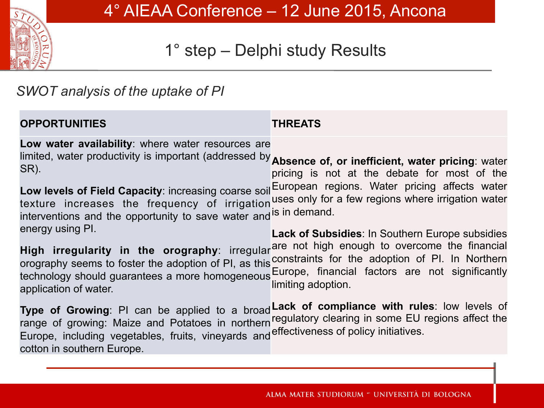

#### *SWOT analysis of the uptake of PI*

| <b>OPPORTUNITIES</b>                                                                                                                                                                                                                                                                                                                                                                                                                                                                                                                                                                                                                                                                                                                                                                                                                                                                                                                                                                                                            | <b>THREATS</b>                                                                                                                                                                                                                                         |
|---------------------------------------------------------------------------------------------------------------------------------------------------------------------------------------------------------------------------------------------------------------------------------------------------------------------------------------------------------------------------------------------------------------------------------------------------------------------------------------------------------------------------------------------------------------------------------------------------------------------------------------------------------------------------------------------------------------------------------------------------------------------------------------------------------------------------------------------------------------------------------------------------------------------------------------------------------------------------------------------------------------------------------|--------------------------------------------------------------------------------------------------------------------------------------------------------------------------------------------------------------------------------------------------------|
| Low water availability: where water resources are<br>limited, water productivity is important (addressed by <b>Absence of, or inefficient, water pricing</b> : water<br>SR).<br>Low levels of Field Capacity: increasing coarse soil European regions. Water pricing affects water<br>texture increases the frequency of irrigation<br>interventions and the opportunity to save water and<br>energy using PI.<br>High irregularity in the orography: irregularare not high enough to overcome the financial<br>orography seems to foster the adoption of PI, as this constraints for the adoption of PI. In Northern<br>technology should guarantees a more homogeneous<br>application of water.<br>Type of Growing: PI can be applied to a broad Lack of compliance with rules: low levels of<br>range of growing: Maize and Potatoes in northern regulatory clearing in some EU regions affect the<br>Europe, including vegetables, fruits, vineyards and effectiveness of policy initiatives.<br>cotton in southern Europe. | pricing is not at the debate for most of the<br>uses only for a few regions where irrigation water<br>is in demand.<br><b>Lack of Subsidies: In Southern Europe subsidies</b><br>Europe, financial factors are not significantly<br>limiting adoption. |
|                                                                                                                                                                                                                                                                                                                                                                                                                                                                                                                                                                                                                                                                                                                                                                                                                                                                                                                                                                                                                                 |                                                                                                                                                                                                                                                        |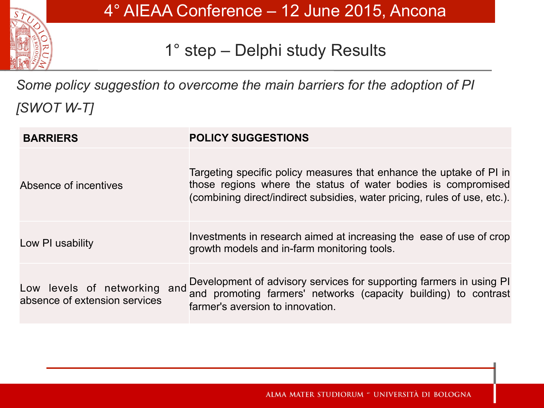

*Some policy suggestion to overcome the main barriers for the adoption of PI [SWOT W-T]* 

| <b>BARRIERS</b>                                               | <b>POLICY SUGGESTIONS</b>                                                                                                                                                                                         |
|---------------------------------------------------------------|-------------------------------------------------------------------------------------------------------------------------------------------------------------------------------------------------------------------|
| Absence of incentives                                         | Targeting specific policy measures that enhance the uptake of PI in<br>those regions where the status of water bodies is compromised<br>(combining direct/indirect subsidies, water pricing, rules of use, etc.). |
| Low PI usability                                              | Investments in research aimed at increasing the ease of use of crop<br>growth models and in-farm monitoring tools.                                                                                                |
| Low levels of networking and<br>absence of extension services | Development of advisory services for supporting farmers in using PI<br>and promoting farmers' networks (capacity building) to contrast<br>farmer's aversion to innovation.                                        |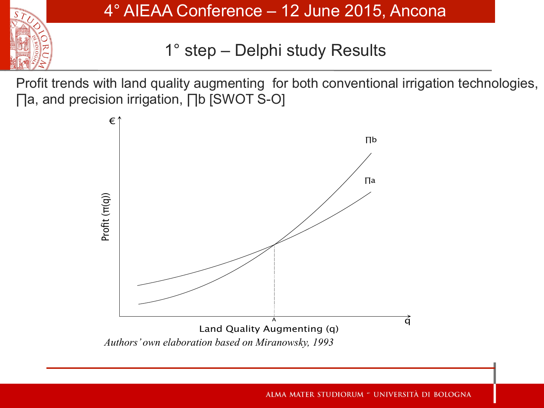

4° AIEAA Conference – 12 June 2015, Ancona

1° step – Delphi study Results

Profit trends with land quality augmenting for both conventional irrigation technologies, ∏a, and precision irrigation, ∏b [SWOT S-O]

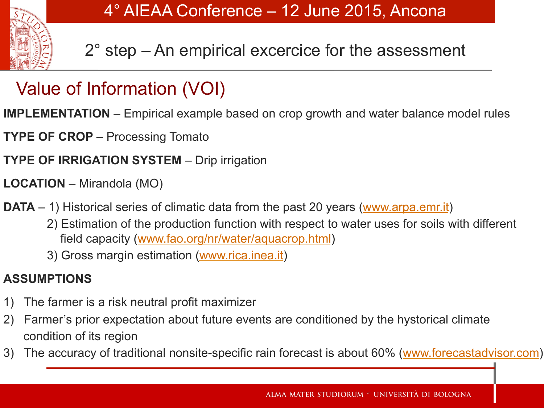

2° step – An empirical excercice for the assessment

# Value of Information (VOI)

**IMPLEMENTATION** – Empirical example based on crop growth and water balance model rules

**TYPE OF CROP** – Processing Tomato

**TYPE OF IRRIGATION SYSTEM** – Drip irrigation

- **LOCATION** Mirandola (MO)
- **DATA** 1) Historical series of climatic data from the past 20 years (www.arpa.emr.it)
	- 2) Estimation of the production function with respect to water uses for soils with different field capacity (www.fao.org/nr/water/aquacrop.html)
	- 3) Gross margin estimation (www.rica.inea.it)

#### **ASSUMPTIONS**

- 1) The farmer is a risk neutral profit maximizer
- 2) Farmer's prior expectation about future events are conditioned by the hystorical climate condition of its region
- 3) The accuracy of traditional nonsite-specific rain forecast is about 60% (www.forecastadvisor.com)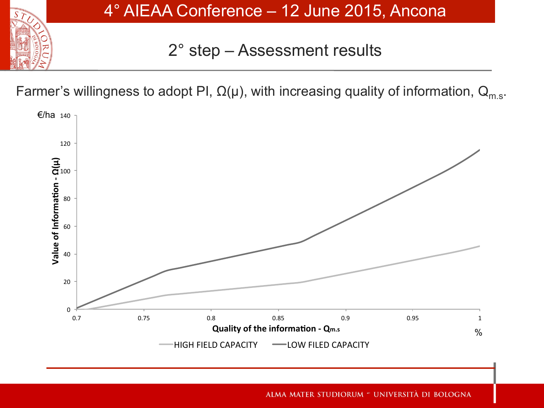

4° AIEAA Conference – 12 June 2015, Ancona

2° step – Assessment results

Farmer's willingness to adopt PI,  $\Omega(\mu)$ , with increasing quality of information,  $Q_{m.s.}$ 

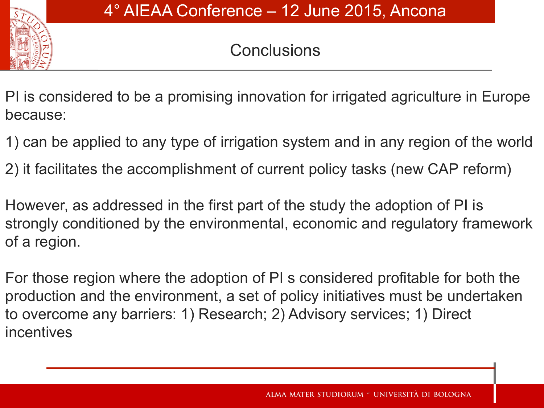

# **Conclusions**

PI is considered to be a promising innovation for irrigated agriculture in Europe because:

- 1) can be applied to any type of irrigation system and in any region of the world
- 2) it facilitates the accomplishment of current policy tasks (new CAP reform)

However, as addressed in the first part of the study the adoption of PI is strongly conditioned by the environmental, economic and regulatory framework of a region.

For those region where the adoption of PI s considered profitable for both the production and the environment, a set of policy initiatives must be undertaken to overcome any barriers: 1) Research; 2) Advisory services; 1) Direct incentives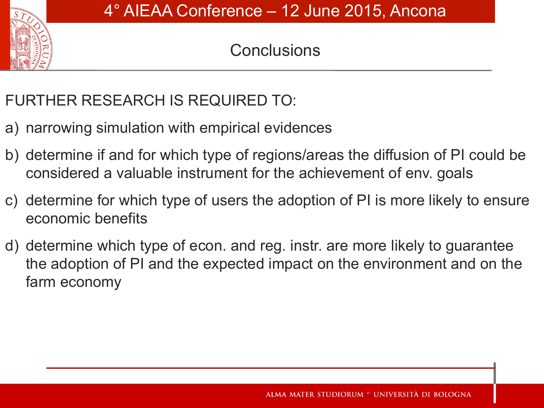

# **Conclusions**

#### FURTHER RESEARCH IS REQUIRED TO:

- a) narrowing simulation with empirical evidences
- b) determine if and for which type of regions/areas the diffusion of PI could be considered a valuable instrument for the achievement of env. goals
- c) determine for which type of users the adoption of PI is more likely to ensure economic benefits
- d) determine which type of econ. and reg. instr. are more likely to guarantee the adoption of PI and the expected impact on the environment and on the farm economy